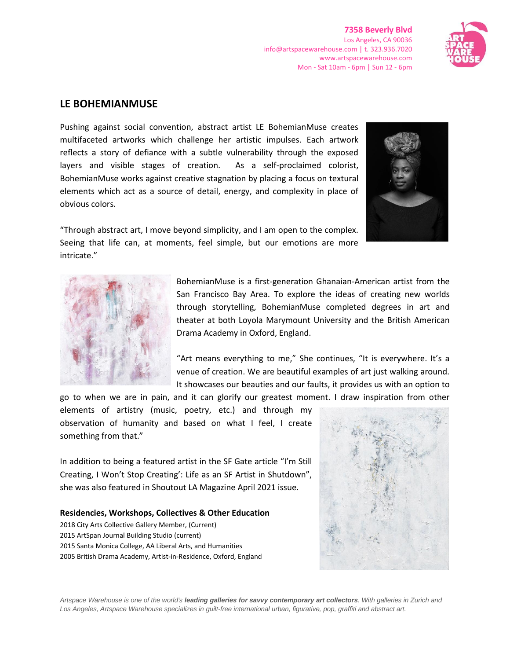**7358 Beverly Blvd** Los Angeles, CA 90036 info@artspacewarehouse.com | t. 323.936.7020 www.artspacewarehouse.com Mon - Sat 10am - 6pm | Sun 12 - 6pm



## **LE BOHEMIANMUSE**

Pushing against social convention, abstract artist LE BohemianMuse creates multifaceted artworks which challenge her artistic impulses. Each artwork reflects a story of defiance with a subtle vulnerability through the exposed layers and visible stages of creation. As a self-proclaimed colorist, BohemianMuse works against creative stagnation by placing a focus on textural elements which act as a source of detail, energy, and complexity in place of obvious colors.



"Through abstract art, I move beyond simplicity, and I am open to the complex. Seeing that life can, at moments, feel simple, but our emotions are more intricate."



BohemianMuse is a first-generation Ghanaian-American artist from the San Francisco Bay Area. To explore the ideas of creating new worlds through storytelling, BohemianMuse completed degrees in art and theater at both Loyola Marymount University and the British American Drama Academy in Oxford, England.

"Art means everything to me," She continues, "It is everywhere. It's a venue of creation. We are beautiful examples of art just walking around. It showcases our beauties and our faults, it provides us with an option to

go to when we are in pain, and it can glorify our greatest moment. I draw inspiration from other elements of artistry (music, poetry, etc.) and through my observation of humanity and based on what I feel, I create something from that."

In addition to being a featured artist in the SF Gate article "I'm Still Creating, I Won't Stop Creating': Life as an SF Artist in Shutdown", she was also featured in Shoutout LA Magazine April 2021 issue.

## **Residencies, Workshops, Collectives & Other Education**

2018 City Arts Collective Gallery Member, (Current) 2015 ArtSpan Journal Building Studio (current) 2015 Santa Monica College, AA Liberal Arts, and Humanities 2005 British Drama Academy, Artist-in-Residence, Oxford, England



*Artspace Warehouse is one of the world's leading galleries for savvy contemporary art collectors. With galleries in Zurich and Los Angeles, Artspace Warehouse specializes in guilt-free international urban, figurative, pop, graffiti and abstract art.*